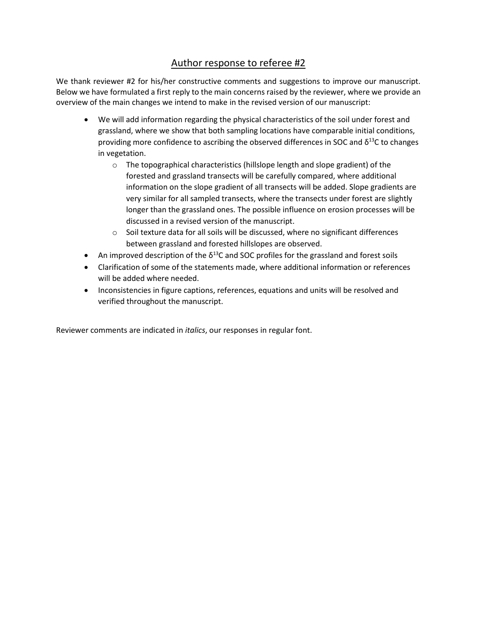# Author response to referee #2

We thank reviewer #2 for his/her constructive comments and suggestions to improve our manuscript. Below we have formulated a first reply to the main concerns raised by the reviewer, where we provide an overview of the main changes we intend to make in the revised version of our manuscript:

- We will add information regarding the physical characteristics of the soil under forest and grassland, where we show that both sampling locations have comparable initial conditions, providing more confidence to ascribing the observed differences in SOC and  $\delta^{13}$ C to changes in vegetation.
	- o The topographical characteristics (hillslope length and slope gradient) of the forested and grassland transects will be carefully compared, where additional information on the slope gradient of all transects will be added. Slope gradients are very similar for all sampled transects, where the transects under forest are slightly longer than the grassland ones. The possible influence on erosion processes will be discussed in a revised version of the manuscript.
	- $\circ$  Soil texture data for all soils will be discussed, where no significant differences between grassland and forested hillslopes are observed.
- An improved description of the  $\delta^{13}$ C and SOC profiles for the grassland and forest soils
- Clarification of some of the statements made, where additional information or references will be added where needed.
- Inconsistencies in figure captions, references, equations and units will be resolved and verified throughout the manuscript.

Reviewer comments are indicated in *italics*, our responses in regular font.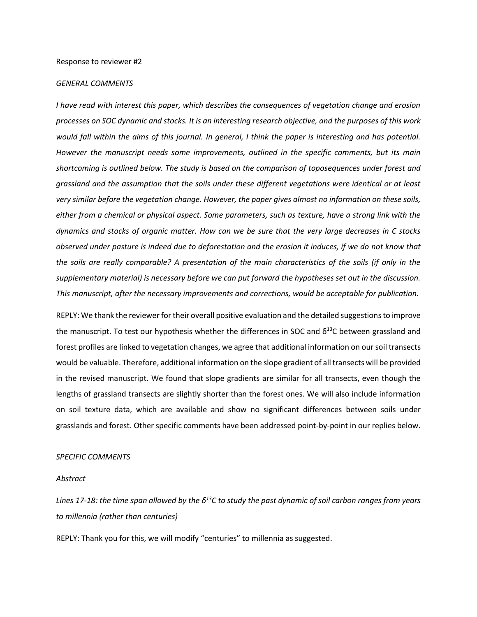### *GENERAL COMMENTS*

*I have read with interest this paper, which describes the consequences of vegetation change and erosion processes on SOC dynamic and stocks. It is an interesting research objective, and the purposes of this work would fall within the aims of this journal. In general, I think the paper is interesting and has potential. However the manuscript needs some improvements, outlined in the specific comments, but its main shortcoming is outlined below. The study is based on the comparison of toposequences under forest and grassland and the assumption that the soils under these different vegetations were identical or at least very similar before the vegetation change. However, the paper gives almost no information on these soils, either from a chemical or physical aspect. Some parameters, such as texture, have a strong link with the dynamics and stocks of organic matter. How can we be sure that the very large decreases in C stocks observed under pasture is indeed due to deforestation and the erosion it induces, if we do not know that the soils are really comparable? A presentation of the main characteristics of the soils (if only in the supplementary material) is necessary before we can put forward the hypotheses set out in the discussion. This manuscript, after the necessary improvements and corrections, would be acceptable for publication.* 

REPLY: We thank the reviewer for their overall positive evaluation and the detailed suggestionsto improve the manuscript. To test our hypothesis whether the differences in SOC and  $\delta^{13}$ C between grassland and forest profiles are linked to vegetation changes, we agree that additional information on oursoil transects would be valuable. Therefore, additional information on the slope gradient of all transects will be provided in the revised manuscript. We found that slope gradients are similar for all transects, even though the lengths of grassland transects are slightly shorter than the forest ones. We will also include information on soil texture data, which are available and show no significant differences between soils under grasslands and forest. Other specific comments have been addressed point-by-point in our replies below.

### *SPECIFIC COMMENTS*

#### *Abstract*

*Lines 17-18: the time span allowed by the δ<sup>13</sup>C to study the past dynamic of soil carbon ranges from years to millennia (rather than centuries)* 

REPLY: Thank you for this, we will modify "centuries" to millennia as suggested.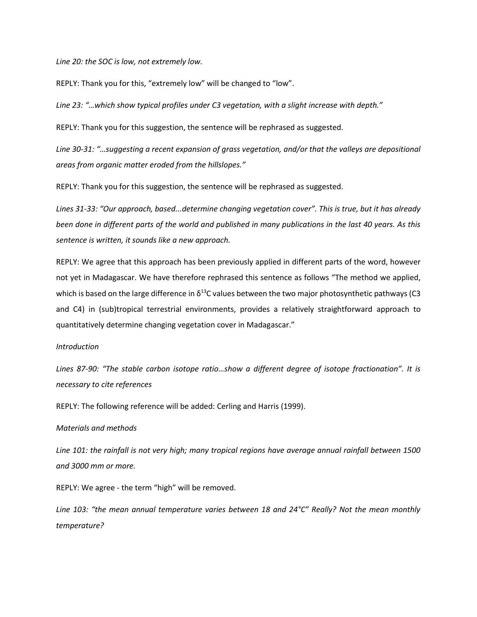*Line 20: the SOC is low, not extremely low.* 

REPLY: Thank you for this, "extremely low" will be changed to "low".

*Line 23: "…which show typical profiles under C3 vegetation, with a slight increase with depth."*

REPLY: Thank you for this suggestion, the sentence will be rephrased as suggested.

*Line 30-31: "…suggesting a recent expansion of grass vegetation, and/or that the valleys are depositional areas from organic matter eroded from the hillslopes."* 

REPLY: Thank you for this suggestion, the sentence will be rephrased as suggested.

*Lines 31-33: "Our approach, based...determine changing vegetation cover". This is true, but it has already been done in different parts of the world and published in many publications in the last 40 years. As this sentence is written, it sounds like a new approach.* 

REPLY: We agree that this approach has been previously applied in different parts of the word, however not yet in Madagascar. We have therefore rephrased this sentence as follows "The method we applied, which is based on the large difference in  $\delta^{13}$ C values between the two major photosynthetic pathways (C3 and C4) in (sub)tropical terrestrial environments, provides a relatively straightforward approach to quantitatively determine changing vegetation cover in Madagascar."

## *Introduction*

*Lines 87-90: "The stable carbon isotope ratio…show a different degree of isotope fractionation". It is necessary to cite references* 

REPLY: The following reference will be added: Cerling and Harris (1999).

### *Materials and methods*

*Line 101: the rainfall is not very high; many tropical regions have average annual rainfall between 1500 and 3000 mm or more.* 

REPLY: We agree - the term "high" will be removed.

*Line 103: "the mean annual temperature varies between 18 and 24°C" Really? Not the mean monthly temperature?*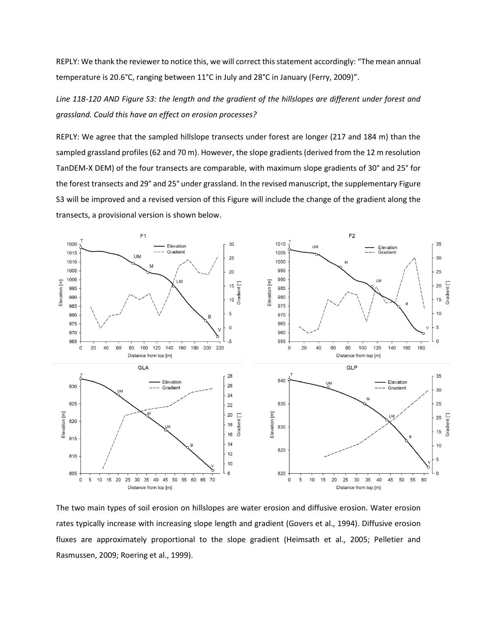REPLY: We thank the reviewer to notice this, we will correct this statement accordingly: "The mean annual temperature is 20.6°C, ranging between 11°C in July and 28°C in January (Ferry, 2009)".

*Line 118-120 AND Figure S3: the length and the gradient of the hillslopes are different under forest and grassland. Could this have an effect on erosion processes?* 

REPLY: We agree that the sampled hillslope transects under forest are longer (217 and 184 m) than the sampled grassland profiles (62 and 70 m). However, the slope gradients (derived from the 12 m resolution TanDEM-X DEM) of the four transects are comparable, with maximum slope gradients of 30° and 25° for the forest transects and 29° and 25° under grassland. In the revised manuscript, the supplementary Figure S3 will be improved and a revised version of this Figure will include the change of the gradient along the transects, a provisional version is shown below.



The two main types of soil erosion on hillslopes are water erosion and diffusive erosion. Water erosion rates typically increase with increasing slope length and gradient (Govers et al., 1994). Diffusive erosion fluxes are approximately proportional to the slope gradient (Heimsath et al., 2005; Pelletier and Rasmussen, 2009; Roering et al., 1999).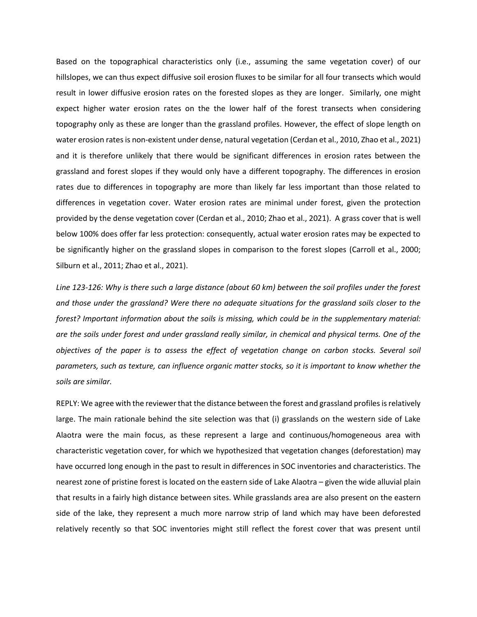Based on the topographical characteristics only (i.e., assuming the same vegetation cover) of our hillslopes, we can thus expect diffusive soil erosion fluxes to be similar for all four transects which would result in lower diffusive erosion rates on the forested slopes as they are longer. Similarly, one might expect higher water erosion rates on the the lower half of the forest transects when considering topography only as these are longer than the grassland profiles. However, the effect of slope length on water erosion rates is non-existent under dense, natural vegetation (Cerdan et al., 2010, Zhao et al., 2021) and it is therefore unlikely that there would be significant differences in erosion rates between the grassland and forest slopes if they would only have a different topography. The differences in erosion rates due to differences in topography are more than likely far less important than those related to differences in vegetation cover. Water erosion rates are minimal under forest, given the protection provided by the dense vegetation cover (Cerdan et al., 2010; Zhao et al., 2021). A grass cover that is well below 100% does offer far less protection: consequently, actual water erosion rates may be expected to be significantly higher on the grassland slopes in comparison to the forest slopes (Carroll et al., 2000; Silburn et al., 2011; Zhao et al., 2021).

*Line 123-126: Why is there such a large distance (about 60 km) between the soil profiles under the forest and those under the grassland? Were there no adequate situations for the grassland soils closer to the forest? Important information about the soils is missing, which could be in the supplementary material: are the soils under forest and under grassland really similar, in chemical and physical terms. One of the objectives of the paper is to assess the effect of vegetation change on carbon stocks. Several soil parameters, such as texture, can influence organic matter stocks, so it is important to know whether the soils are similar.* 

REPLY: We agree with the reviewer that the distance between the forest and grassland profiles is relatively large. The main rationale behind the site selection was that (i) grasslands on the western side of Lake Alaotra were the main focus, as these represent a large and continuous/homogeneous area with characteristic vegetation cover, for which we hypothesized that vegetation changes (deforestation) may have occurred long enough in the past to result in differences in SOC inventories and characteristics. The nearest zone of pristine forest is located on the eastern side of Lake Alaotra – given the wide alluvial plain that results in a fairly high distance between sites. While grasslands area are also present on the eastern side of the lake, they represent a much more narrow strip of land which may have been deforested relatively recently so that SOC inventories might still reflect the forest cover that was present until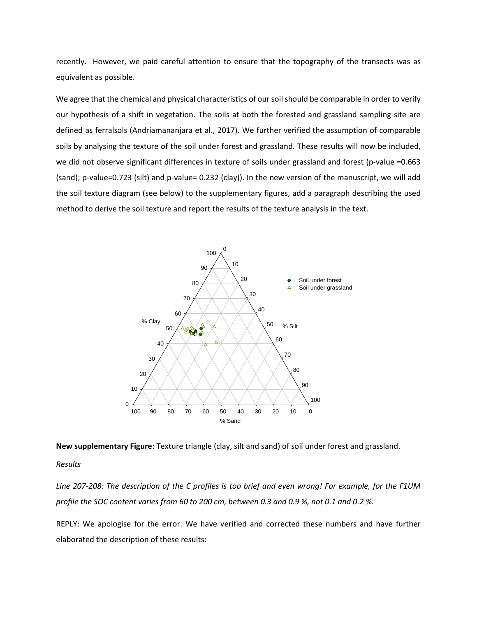recently. However, we paid careful attention to ensure that the topography of the transects was as equivalent as possible.

We agree that the chemical and physical characteristics of our soil should be comparable in order to verify our hypothesis of a shift in vegetation. The soils at both the forested and grassland sampling site are defined as ferralsols (Andriamananjara et al., 2017). We further verified the assumption of comparable soils by analysing the texture of the soil under forest and grassland. These results will now be included, we did not observe significant differences in texture of soils under grassland and forest (p-value =0.663 (sand); p-value=0.723 (silt) and p-value= 0.232 (clay)). In the new version of the manuscript, we will add the soil texture diagram (see below) to the supplementary figures, add a paragraph describing the used method to derive the soil texture and report the results of the texture analysis in the text.



**New supplementary Figure**: Texture triangle (clay, silt and sand) of soil under forest and grassland.

*Results*

*Line 207-208: The description of the C profiles is too brief and even wrong! For example, for the F1UM profile the SOC content varies from 60 to 200 cm, between 0.3 and 0.9 %, not 0.1 and 0.2 %.* 

REPLY: We apologise for the error. We have verified and corrected these numbers and have further elaborated the description of these results: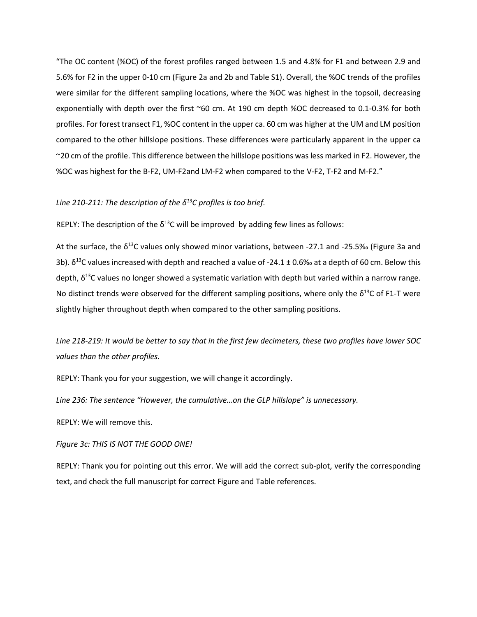"The OC content (%OC) of the forest profiles ranged between 1.5 and 4.8% for F1 and between 2.9 and 5.6% for F2 in the upper 0-10 cm (Figure 2a and 2b and Table S1). Overall, the %OC trends of the profiles were similar for the different sampling locations, where the %OC was highest in the topsoil, decreasing exponentially with depth over the first ~60 cm. At 190 cm depth %OC decreased to 0.1-0.3% for both profiles. For forest transect F1, %OC content in the upper ca. 60 cm was higher at the UM and LM position compared to the other hillslope positions. These differences were particularly apparent in the upper ca ~20 cm of the profile. This difference between the hillslope positions was less marked in F2. However, the %OC was highest for the B-F2, UM-F2and LM-F2 when compared to the V-F2, T-F2 and M-F2."

# *Line 210-211: The description of the δ<sup>13</sup>C profiles is too brief.*

REPLY: The description of the  $\delta^{13}$ C will be improved by adding few lines as follows:

At the surface, the  $\delta^{13}$ C values only showed minor variations, between -27.1 and -25.5‰ (Figure 3a and 3b).  $\delta^{13}$ C values increased with depth and reached a value of -24.1 ± 0.6‰ at a depth of 60 cm. Below this depth,  $\delta^{13}$ C values no longer showed a systematic variation with depth but varied within a narrow range. No distinct trends were observed for the different sampling positions, where only the  $\delta^{13}$ C of F1-T were slightly higher throughout depth when compared to the other sampling positions.

*Line 218-219: It would be better to say that in the first few decimeters, these two profiles have lower SOC values than the other profiles.* 

REPLY: Thank you for your suggestion, we will change it accordingly.

*Line 236: The sentence "However, the cumulative…on the GLP hillslope" is unnecessary.* 

REPLY: We will remove this.

*Figure 3c: THIS IS NOT THE GOOD ONE!* 

REPLY: Thank you for pointing out this error. We will add the correct sub-plot, verify the corresponding text, and check the full manuscript for correct Figure and Table references.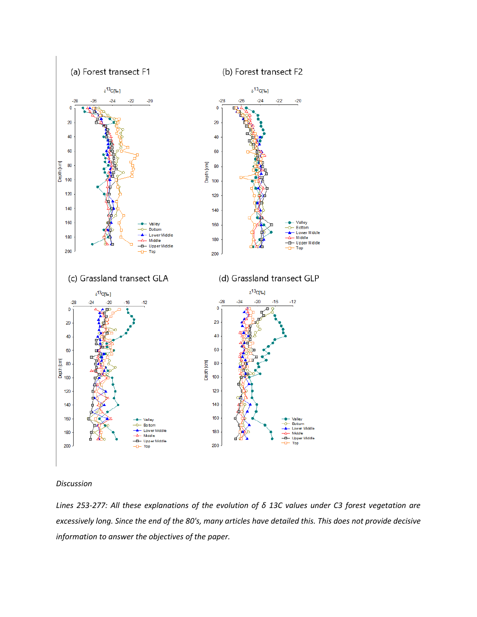

(b) Forest transect F2



### *Discussion*

*Lines 253-277: All these explanations of the evolution of δ 13C values under C3 forest vegetation are excessively long. Since the end of the 80's, many articles have detailed this. This does not provide decisive information to answer the objectives of the paper.*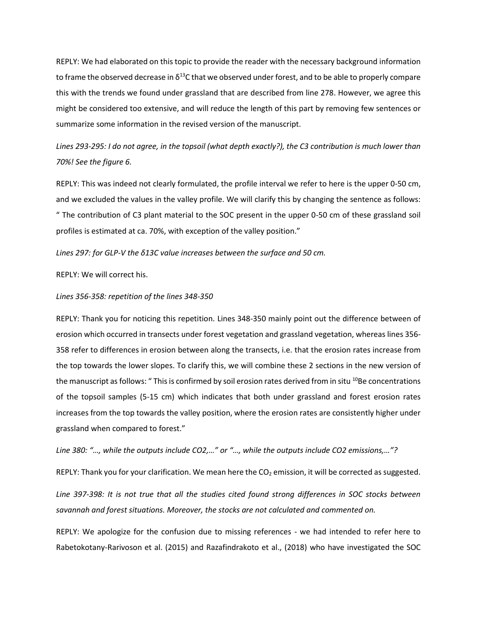REPLY: We had elaborated on this topic to provide the reader with the necessary background information to frame the observed decrease in  $\delta^{13}$ C that we observed under forest, and to be able to properly compare this with the trends we found under grassland that are described from line 278. However, we agree this might be considered too extensive, and will reduce the length of this part by removing few sentences or summarize some information in the revised version of the manuscript.

*Lines 293-295: I do not agree, in the topsoil (what depth exactly?), the C3 contribution is much lower than 70%! See the figure 6.*

REPLY: This was indeed not clearly formulated, the profile interval we refer to here is the upper 0-50 cm, and we excluded the values in the valley profile. We will clarify this by changing the sentence as follows: " The contribution of C3 plant material to the SOC present in the upper 0-50 cm of these grassland soil profiles is estimated at ca. 70%, with exception of the valley position."

## *Lines 297: for GLP-V the δ13C value increases between the surface and 50 cm.*

REPLY: We will correct his.

### *Lines 356-358: repetition of the lines 348-350*

REPLY: Thank you for noticing this repetition. Lines 348-350 mainly point out the difference between of erosion which occurred in transects under forest vegetation and grassland vegetation, whereas lines 356- 358 refer to differences in erosion between along the transects, i.e. that the erosion rates increase from the top towards the lower slopes. To clarify this, we will combine these 2 sections in the new version of the manuscript as follows: " This is confirmed by soil erosion rates derived from in situ <sup>10</sup>Be concentrations of the topsoil samples (5-15 cm) which indicates that both under grassland and forest erosion rates increases from the top towards the valley position, where the erosion rates are consistently higher under grassland when compared to forest."

*Line 380: "…, while the outputs include CO2,…" or "…, while the outputs include CO2 emissions,…"?* 

REPLY: Thank you for your clarification. We mean here the  $CO<sub>2</sub>$  emission, it will be corrected as suggested.

*Line 397-398: It is not true that all the studies cited found strong differences in SOC stocks between savannah and forest situations. Moreover, the stocks are not calculated and commented on.*

REPLY: We apologize for the confusion due to missing references - we had intended to refer here to Rabetokotany-Rarivoson et al. (2015) and Razafindrakoto et al., (2018) who have investigated the SOC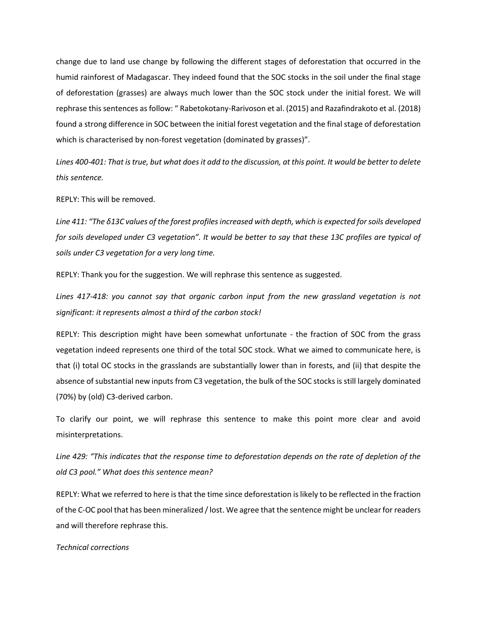change due to land use change by following the different stages of deforestation that occurred in the humid rainforest of Madagascar. They indeed found that the SOC stocks in the soil under the final stage of deforestation (grasses) are always much lower than the SOC stock under the initial forest. We will rephrase this sentences as follow: " Rabetokotany-Rarivoson et al. (2015) and Razafindrakoto et al. (2018) found a strong difference in SOC between the initial forest vegetation and the final stage of deforestation which is characterised by non-forest vegetation (dominated by grasses)".

*Lines 400-401: That is true, but what does it add to the discussion, at this point. It would be better to delete this sentence.* 

REPLY: This will be removed.

*Line 411: "The δ13C values of the forest profiles increased with depth, which is expected for soils developed for soils developed under C3 vegetation". It would be better to say that these 13C profiles are typical of soils under C3 vegetation for a very long time.*

REPLY: Thank you for the suggestion. We will rephrase this sentence as suggested.

*Lines 417-418: you cannot say that organic carbon input from the new grassland vegetation is not significant: it represents almost a third of the carbon stock!* 

REPLY: This description might have been somewhat unfortunate - the fraction of SOC from the grass vegetation indeed represents one third of the total SOC stock. What we aimed to communicate here, is that (i) total OC stocks in the grasslands are substantially lower than in forests, and (ii) that despite the absence of substantial new inputs from C3 vegetation, the bulk of the SOC stocks is still largely dominated (70%) by (old) C3-derived carbon.

To clarify our point, we will rephrase this sentence to make this point more clear and avoid misinterpretations.

*Line 429: "This indicates that the response time to deforestation depends on the rate of depletion of the old C3 pool." What does this sentence mean?* 

REPLY: What we referred to here is that the time since deforestation is likely to be reflected in the fraction of the C-OC pool that has been mineralized / lost. We agree that the sentence might be unclear for readers and will therefore rephrase this.

### *Technical corrections*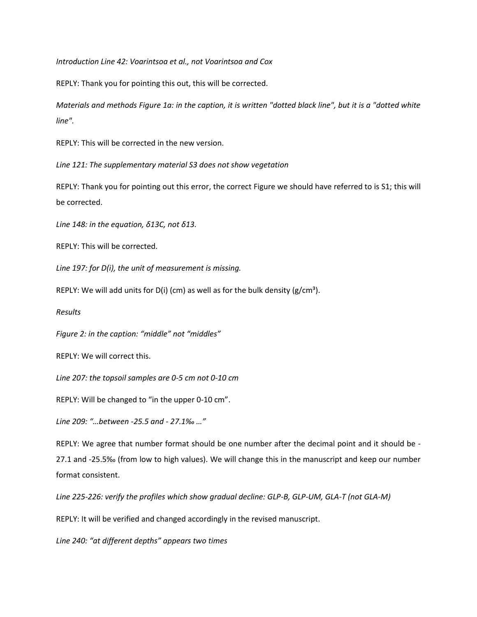*Introduction Line 42: Voarintsoa et al., not Voarintsoa and Cox* 

REPLY: Thank you for pointing this out, this will be corrected.

*Materials and methods Figure 1a: in the caption, it is written "dotted black line", but it is a "dotted white line".* 

REPLY: This will be corrected in the new version.

*Line 121: The supplementary material S3 does not show vegetation* 

REPLY: Thank you for pointing out this error, the correct Figure we should have referred to is S1; this will be corrected.

*Line 148: in the equation, δ13C, not δ13.* 

REPLY: This will be corrected.

*Line 197: for D(i), the unit of measurement is missing.* 

REPLY: We will add units for D(i) (cm) as well as for the bulk density ( $g/cm<sup>3</sup>$ ).

*Results* 

*Figure 2: in the caption: "middle" not "middles"*

REPLY: We will correct this.

*Line 207: the topsoil samples are 0-5 cm not 0-10 cm* 

REPLY: Will be changed to "in the upper 0-10 cm".

*Line 209: "…between -25.5 and - 27.1‰ …"* 

REPLY: We agree that number format should be one number after the decimal point and it should be - 27.1 and -25.5‰ (from low to high values). We will change this in the manuscript and keep our number format consistent.

*Line 225-226: verify the profiles which show gradual decline: GLP-B, GLP-UM, GLA-T (not GLA-M)* 

REPLY: It will be verified and changed accordingly in the revised manuscript.

*Line 240: "at different depths" appears two times*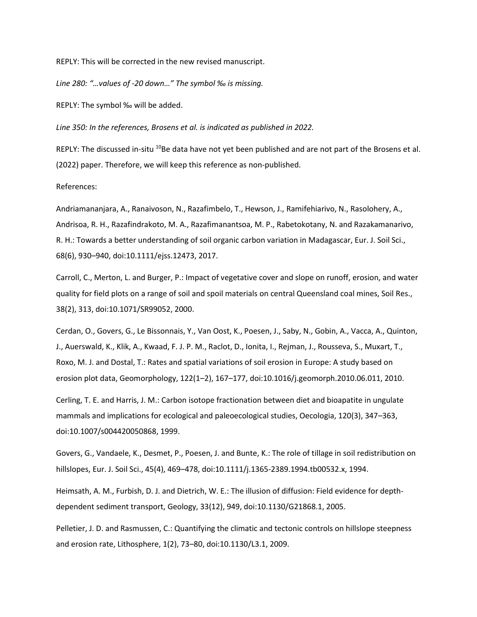REPLY: This will be corrected in the new revised manuscript.

*Line 280: "…values of -20 down…" The symbol ‰ is missing.* 

REPLY: The symbol ‰ will be added.

*Line 350: In the references, Brosens et al. is indicated as published in 2022.*

REPLY: The discussed in-situ <sup>10</sup>Be data have not yet been published and are not part of the Brosens et al. (2022) paper. Therefore, we will keep this reference as non-published.

References:

Andriamananjara, A., Ranaivoson, N., Razafimbelo, T., Hewson, J., Ramifehiarivo, N., Rasolohery, A., Andrisoa, R. H., Razafindrakoto, M. A., Razafimanantsoa, M. P., Rabetokotany, N. and Razakamanarivo, R. H.: Towards a better understanding of soil organic carbon variation in Madagascar, Eur. J. Soil Sci., 68(6), 930–940, doi:10.1111/ejss.12473, 2017.

Carroll, C., Merton, L. and Burger, P.: Impact of vegetative cover and slope on runoff, erosion, and water quality for field plots on a range of soil and spoil materials on central Queensland coal mines, Soil Res., 38(2), 313, doi:10.1071/SR99052, 2000.

Cerdan, O., Govers, G., Le Bissonnais, Y., Van Oost, K., Poesen, J., Saby, N., Gobin, A., Vacca, A., Quinton, J., Auerswald, K., Klik, A., Kwaad, F. J. P. M., Raclot, D., Ionita, I., Rejman, J., Rousseva, S., Muxart, T., Roxo, M. J. and Dostal, T.: Rates and spatial variations of soil erosion in Europe: A study based on erosion plot data, Geomorphology, 122(1–2), 167–177, doi:10.1016/j.geomorph.2010.06.011, 2010.

Cerling, T. E. and Harris, J. M.: Carbon isotope fractionation between diet and bioapatite in ungulate mammals and implications for ecological and paleoecological studies, Oecologia, 120(3), 347–363, doi:10.1007/s004420050868, 1999.

Govers, G., Vandaele, K., Desmet, P., Poesen, J. and Bunte, K.: The role of tillage in soil redistribution on hillslopes, Eur. J. Soil Sci., 45(4), 469–478, doi:10.1111/j.1365-2389.1994.tb00532.x, 1994.

Heimsath, A. M., Furbish, D. J. and Dietrich, W. E.: The illusion of diffusion: Field evidence for depthdependent sediment transport, Geology, 33(12), 949, doi:10.1130/G21868.1, 2005.

Pelletier, J. D. and Rasmussen, C.: Quantifying the climatic and tectonic controls on hillslope steepness and erosion rate, Lithosphere, 1(2), 73–80, doi:10.1130/L3.1, 2009.